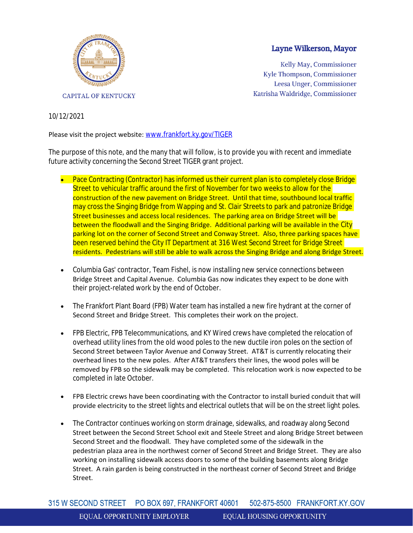

## Layne Wilkerson, Mayor

Kelly May, Commissioner Kyle Thompson, Commissioner Leesa Unger, Commissioner Katrisha Waldridge, Commissioner

## 10/12/2021

## Please visit the project website: [www.frankfort.ky.gov/TIGER](https://us-east-2.protection.sophos.com/?d=ky.gov&u=aHR0cDovL3d3dy5mcmFua2ZvcnQua3kuZ292L1RJR0VS&i=NWY4NWUzODAzMGRjMDYwZTBhN2I0MjIy&t=bmt6R2Q3QlVyNUp1eVR6SGVwbUJnQkJMRUE5YXhWR2FlZWlrRlFHd1FJWT0=&h=5107ff473dfb46de9c99edda9afdc01d)

The purpose of this note, and the many that will follow, is to provide you with recent and immediate future activity concerning the Second Street TIGER grant project.

- Pace Contracting (Contractor) has informed us their current plan is to completely close Bridge Street to vehicular traffic around the first of November for two weeks to allow for the construction of the new pavement on Bridge Street. Until that time, southbound local traffic may cross the Singing Bridge from Wapping and St. Clair Streets to park and patronize Bridge Street businesses and access local residences. The parking area on Bridge Street will be between the floodwall and the Singing Bridge. Additional parking will be available in the City parking lot on the corner of Second Street and Conway Street. Also, three parking spaces have been reserved behind the City IT Department at 316 West Second Street for Bridge Street residents. Pedestrians will still be able to walk across the Singing Bridge and along Bridge Street.
- Columbia Gas' contractor, Team Fishel, is now installing new service connections between Bridge Street and Capital Avenue. Columbia Gas now indicates they expect to be done with their project-related work by the end of October.
- The Frankfort Plant Board (FPB) Water team has installed a new fire hydrant at the corner of Second Street and Bridge Street. This completes their work on the project.
- **FPB Electric, FPB Telecommunications, and KY Wired crews have completed the relocation of** overhead utility lines from the old wood poles to the new ductile iron poles on the section of Second Street between Taylor Avenue and Conway Street. AT&T is currently relocating their overhead lines to the new poles. After AT&T transfers their lines, the wood poles will be removed by FPB so the sidewalk may be completed. This relocation work is now expected to be completed in late October.
- FPB Electric crews have been coordinating with the Contractor to install buried conduit that will provide electricity to the street lights and electrical outlets that will be on the street light poles.
- The Contractor continues working on storm drainage, sidewalks, and roadway along Second Street between the Second Street School exit and Steele Street and along Bridge Street between Second Street and the floodwall. They have completed some of the sidewalk in the pedestrian plaza area in the northwest corner of Second Street and Bridge Street. They are also working on installing sidewalk access doors to some of the building basements along Bridge Street. A rain garden is being constructed in the northeast corner of Second Street and Bridge Street.